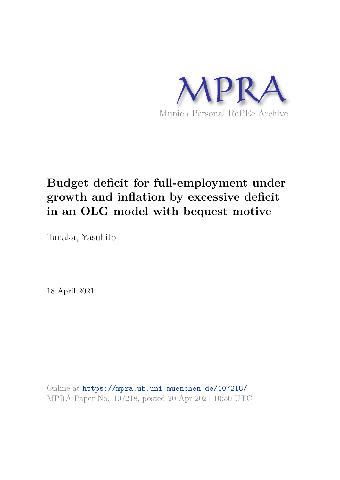

# **Budget deficit for full-employment under growth and inflation by excessive deficit in an OLG model with bequest motive**

Tanaka, Yasuhito

18 April 2021

Online at https://mpra.ub.uni-muenchen.de/107218/ MPRA Paper No. 107218, posted 20 Apr 2021 10:50 UTC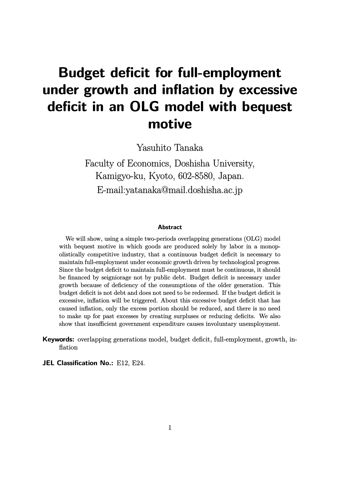# **Budget deficit for full-employment under growth and inflation by excessive deficit in an OLG model with bequest motive**

Yasuhito Tanaka

Faculty of Economics, Doshisha University, Kamigyo-ku, Kyoto, 602-8580, Japan. E-mail:yatanaka@mail.doshisha.ac.jp

#### **Abstract**

We will show, using a simple two-periods overlapping generations (OLG) model with bequest motive in which goods are produced solely by labor in a monopolistically competitive industry, that a continuous budget deficit is necessary to maintain full-employment under economic growth driven by technological progress. Since the budget deficit to maintain full-employment must be continuous, it should be financed by seigniorage not by public debt. Budget deficit is necessary under growth because of deficiency of the consumptions of the older generation. This budget deficit is not debt and does not need to be redeemed. If the budget deficit is excessive, inflation will be triggered. About this excessive budget deficit that has caused inflation, only the excess portion should be reduced, and there is no need to make up for past excesses by creating surpluses or reducing deficits. We also show that insufficient government expenditure causes involuntary unemployment.

**Keywords:** overlapping generations model, budget deficit, full-employment, growth, inflation

**JEL Classification No.: E12, E24.**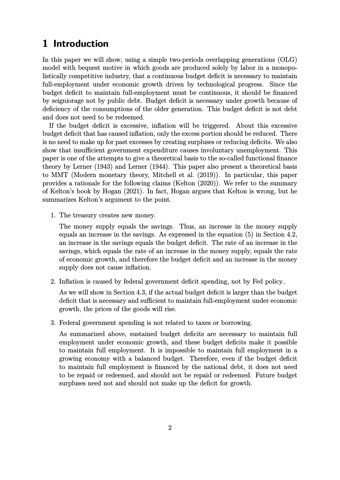# **1 Introduction**

In this paper we will show, using a simple two-periods overlapping generations (OLG) model with bequest motive in which goods are produced solely by labor in a monopolistically competitive industry, that a continuous budget deficit is necessary to maintain full-employment under economic growth driven by technological progress. Since the budget deficit to maintain full-employment must be continuous, it should be financed by seigniorage not by public debt. Budget deficit is necessary under growth because of deficiency of the consumptions of the older generation. This budget deficit is not debt and does not need to be redeemed.

If the budget deficit is excessive, inflation will be triggered. About this excessive budget deficit that has caused inflation, only the excess portion should be reduced. There is no need to make up for past excesses by creating surpluses or reducing deficits. We also show that insufficient government expenditure causes involuntary unemployment. This paper is one of the attempts to give a theoretical basis to the so-called functional finance theory by Lerner (1943) and Lerner (1944). This paper also present a theoretical basis to MMT (Modern monetary theory, Mitchell et al. (2019)). In particular, this paper provides a rationale for the following claims (Kelton (2020)). We refer to the summary of Kelton's book by Hogan (2021). In fact, Hogan argues that Kelton is wrong, but he summarizes Kelton's argument to the point.

1. The treasury creates new money.

The money supply equals the savings. Thus, an increase in the money supply equals an increase in the savings. As expressed in the equation (5) in Section 4.2, an increase in the savings equals the budget deficit. The rate of an increase in the savings, which equals the rate of an increase in the money supply, equals the rate of economic growth, and therefore the budget deficit and an increase in the money supply does not cause inflation.

2. Inflation is caused by federal government deficit spending, not by Fed policy..

As we will show in Section 4.3, if the actual budget deficit is larger than the budget deficit that is necessary and sufficient to maintain full-employment under economic growth, the prices of the goods will rise.

3. Federal government spending is not related to taxes or borrowing.

As summarized above, sustained budget deficits are necessary to maintain full employment under economic growth, and these budget deficits make it possible to maintain full employment. It is impossible to maintain full employment in a growing economy with a balanced budget. Therefore, even if the budget deficit to maintain full employment is financed by the national debt, it does not need to be repaid or redeemed, and should not be repaid or redeemed. Future budget surpluses need not and should not make up the deficit for growth.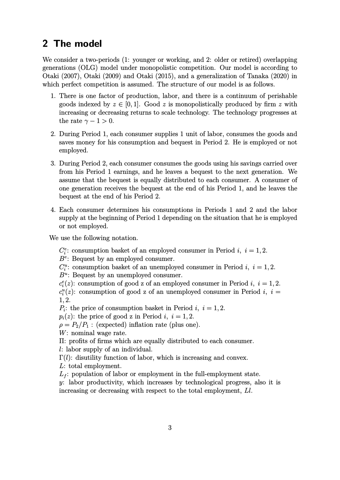# **2 The model**

We consider a two-periods (1: younger or working, and 2: older or retired) overlapping generations (OLG) model under monopolistic competition. Our model is according to Otaki (2007), Otaki (2009) and Otaki (2015), and a generalization of Tanaka (2020) in which perfect competition is assumed. The structure of our model is as follows.

- 1. There is one factor of production, labor, and there is a continuum of perishable goods indexed by  $z \in [0, 1]$ . Good z is monopolistically produced by firm z with increasing or decreasing returns to scale technology. The technology progresses at the rate  $\gamma - 1 > 0$ .
- 2. During Period 1, each consumer supplies 1 unit of labor, consumes the goods and saves money for his consumption and bequest in Period 2. He is employed or not employed.
- 3. During Period 2, each consumer consumes the goods using his savings carried over from his Period 1 earnings, and he leaves a bequest to the next generation. We assume that the bequest is equally distributed to each consumer. A consumer of one generation receives the bequest at the end of his Period 1, and he leaves the bequest at the end of his Period 2.
- 4. Each consumer determines his consumptions in Periods 1 and 2 and the labor supply at the beginning of Period 1 depending on the situation that he is employed or not employed.

We use the following notation.

 $C_i^e$ : consumption basket of an employed consumer in Period *i, i* = 1, 2.

*Be* : Bequest by an employed consumer.

 $C_i^u$ : consumption basket of an unemployed consumer in Period *i, i* = 1, 2.

*B<sup>u</sup>* : Bequest by an unemployed consumer.

 $c_i^e(z)$ : consumption of good z of an employed consumer in Period *i, i* = 1, 2.

 $c_i^u(z)$ : consumption of good z of an unemployed consumer in Period *i, i* = 1*,* 2.

 $P_i$ : the price of consumption basket in Period *i*,  $i = 1, 2$ .

 $p_i(z)$ : the price of good z in Period *i, i* = 1, 2.

 $\rho = P_2/P_1$ : (expected) inflation rate (plus one).

*W*: nominal wage rate.

Π: profits of firms which are equally distributed to each consumer.

*l*: labor supply of an individual.

 $\Gamma(l)$ : disutility function of labor, which is increasing and convex.

*L*: total employment.

*L<sup>f</sup>* : population of labor or employment in the full-employment state.

*y*: labor productivity, which increases by technological progress, also it is increasing or decreasing with respect to the total employment, *Ll*.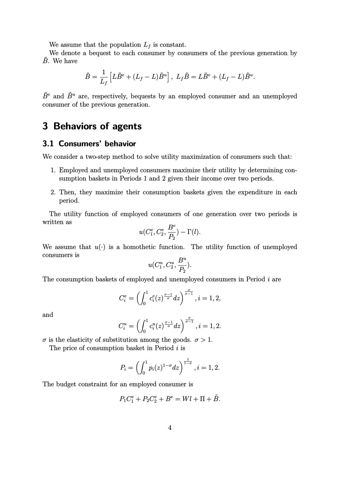We assume that the population  $L_f$  is constant.

We denote a bequest to each consumer by consumers of the previous generation by  $\tilde{B}$ . We have

$$
\tilde{B} = \frac{1}{L_f} \left[ L\tilde{B}^e + (L_f - L)\tilde{B}^u \right], \ L_f \tilde{B} = L\tilde{B}^e + (L_f - L)\tilde{B}^u.
$$

 $\tilde{B}^e$  and  $\tilde{B}^u$  are, respectively, bequests by an employed consumer and an unemployed consumer of the previous generation.

## **3 Behaviors of agents**

### **3.1 Consumers' behavior**

We consider a two-step method to solve utility maximization of consumers such that:

- 1. Employed and unemployed consumers maximize their utility by determining consumption baskets in Periods 1 and 2 given their income over two periods.
- 2. Then, they maximize their consumption baskets given the expenditure in each period.

The utility function of employed consumers of one generation over two periods is written as

$$
u(C_1^e, C_2^e, \frac{B^e}{P_2}) - \Gamma(l).
$$

We assume that  $u(\cdot)$  is a homothetic function. The utility function of unemployed consumers is

$$
u(C_1^u, C_2^u, \frac{B^u}{P_2}).
$$

The consumption baskets of employed and unemployed consumers in Period *i* are

$$
C_i^e=\left(\int_0^1c_i^e(z)^{\frac{\sigma-1}{\sigma}}dz\right)^{\frac{\sigma}{\sigma-1}}, i=1,2,
$$

and

$$
C_i^u=\left(\int_0^1c_i^u(z)^{\frac{\sigma-1}{\sigma}}dz\right)^{\frac{\sigma}{\sigma-1}}, i=1,2.
$$

*σ* is the elasticity of substitution among the goods.  $\sigma > 1$ .

The price of consumption basket in Period *i* is

$$
P_i = \left(\int_0^1 p_i(z)^{1-\sigma} dz\right)^{\frac{1}{1-\sigma}}, i = 1, 2.
$$

The budget constraint for an employed consumer is

$$
P_1 C_1^e + P_2 C_2^e + B^e = Wl + \Pi + \tilde{B}.
$$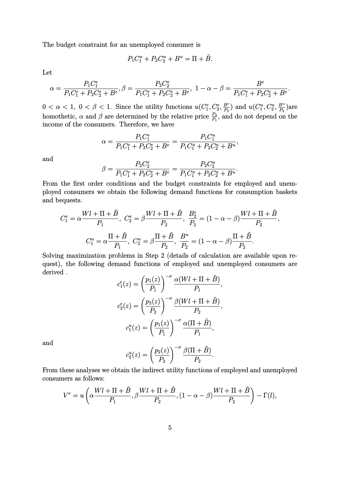The budget constraint for an unemployed consumer is

$$
P_1 C_1^u + P_2 C_2^u + B^u = \Pi + \tilde{B}.
$$

Let

$$
\alpha = \frac{P_1 C_1^e}{P_1 C_1^e + P_2 C_2^e + B^e}, \beta = \frac{P_2 C_2^e}{P_1 C_1^e + P_2 C_2^e + B^e}, \ 1 - \alpha - \beta = \frac{B^e}{P_1 C_1^e + P_2 C_2^e + B^e}.
$$

 $0 < \alpha < 1, 0 < \beta < 1$ . Since the utility functions  $u(C_1^e, C_2^e, \frac{B^e}{P_2})$  $\frac{B^e}{P_2}$ ) and  $u(C^u_1, C^u_2, \frac{B^u}{P_2})$  $\frac{B^a}{P_2}$ ) $\arctan$ homothetic,  $\alpha$  and  $\beta$  are determined by the relative price  $\frac{P_2}{P_1}$ , and do not depend on the income of the consumers. Therefore, we have

$$
\alpha = \frac{P_1 C_1^e}{P_1 C_1^e + P_2 C_2^e + B^e} = \frac{P_1 C_1^u}{P_1 C_1^u + P_2 C_2^u + B^u},
$$

and

$$
\beta = \frac{P_2 C_2^e}{P_1 C_1^e + P_2 C_2^e + B^e} = \frac{P_2 C_2^u}{P_1 C_1^u + P_2 C_2^u + B^u}.
$$

From the first order conditions and the budget constraints for employed and unemployed consumers we obtain the following demand functions for consumption baskets and bequests.

$$
C_1^e = \alpha \frac{Wl + \Pi + \tilde{B}}{P_1}, \ C_2^e = \beta \frac{Wl + \Pi + \tilde{B}}{P_2}, \ \frac{B_2^e}{P_2} = (1 - \alpha - \beta) \frac{Wl + \Pi + \tilde{B}}{P_2},
$$

$$
C_1^u = \alpha \frac{\Pi + \tilde{B}}{P_1}, \ C_2^u = \beta \frac{\Pi + \tilde{B}}{P_2}, \ \frac{B^u}{P_2} = (1 - \alpha - \beta) \frac{\Pi + \tilde{B}}{P_2}.
$$

Solving maximization problems in Step 2 (details of calculation are available upon request), the following demand functions of employed and unemployed consumers are derived .

$$
c_1^e(z) = \left(\frac{p_1(z)}{P_1}\right)^{-\sigma} \frac{\alpha(Wl + \Pi + \tilde{B})}{P_1},
$$
  

$$
c_2^e(z) = \left(\frac{p_2(z)}{P_2}\right)^{-\sigma} \frac{\beta(Wl + \Pi + \tilde{B})}{P_2},
$$
  

$$
c_1^u(z) = \left(\frac{p_1(z)}{P_1}\right)^{-\sigma} \frac{\alpha(\Pi + \tilde{B})}{P_1},
$$

and

$$
c_2^u(z) = \left(\frac{p_2(z)}{P_2}\right)^{-\sigma} \frac{\beta(\Pi + \tilde{B})}{P_2}.
$$

From these analyses we obtain the indirect utility functions of employed and unemployed consumers as follows:

$$
V^{e} = u\left(\alpha \frac{Wl + \Pi + \tilde{B}}{P_1}, \beta \frac{Wl + \Pi + \tilde{B}}{P_2}, (1 - \alpha - \beta) \frac{Wl + \Pi + \tilde{B}}{P_2}\right) - \Gamma(l),
$$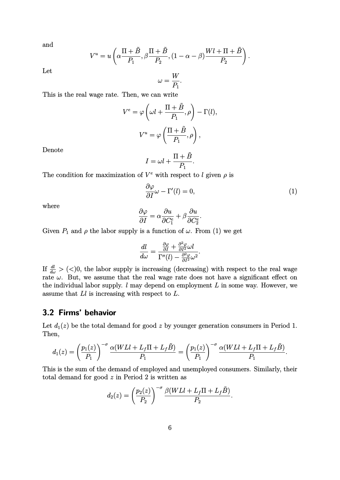and

$$
V^u = u\left(\alpha \frac{\Pi + \tilde{B}}{P_1}, \beta \frac{\Pi + \tilde{B}}{P_2}, (1 - \alpha - \beta) \frac{Wl + \Pi + \tilde{B}}{P_2}\right).
$$

Let

 $\omega =$ *W P*1 *.*

This is the real wage rate. Then, we can write

$$
V^{e} = \varphi \left(\omega l + \frac{\Pi + \tilde{B}}{P_1}, \rho\right) - \Gamma(l),
$$

$$
V^{u} = \varphi \left(\frac{\Pi + \tilde{B}}{P_1}, \rho\right),
$$

Denote

$$
I = \omega l + \frac{\Pi + \tilde{B}}{P_1}.
$$

The condition for maximization of  $V^e$  with respect to *l* given  $\rho$  is

$$
\frac{\partial \varphi}{\partial I} \omega - \Gamma'(l) = 0,\tag{1}
$$

where

$$
\frac{\partial \varphi}{\partial I} = \alpha \frac{\partial u}{\partial C_1^e} + \beta \frac{\partial u}{\partial C_2^e}.
$$

Given  $P_1$  and  $\rho$  the labor supply is a function of  $\omega$ . From (1) we get

$$
\frac{dl}{d\omega} = \frac{\frac{\partial \varphi}{\partial I} + \frac{\partial^2 \varphi}{\partial I^2} \omega l}{\Gamma''(l) - \frac{\partial^2 \varphi}{\partial I^2} \omega^2}.
$$

If  $\frac{dl}{d\omega}$  > (<)0, the labor supply is increasing (decreasing) with respect to the real wage rate  $\omega$ . But, we assume that the real wage rate does not have a significant effect on the individual labor supply. *l* may depend on employment *L* in some way. However, we assume that *Ll* is increasing with respect to *L*.

### **3.2 Firms' behavior**

Let  $d_1(z)$  be the total demand for good *z* by younger generation consumers in Period 1. Then,

$$
d_1(z) = \left(\frac{p_1(z)}{P_1}\right)^{-\sigma} \frac{\alpha(WLI + L_f\Pi + L_f\tilde{B})}{P_1} = \left(\frac{p_1(z)}{P_1}\right)^{-\sigma} \frac{\alpha(WLI + L_f\Pi + L_f\tilde{B})}{P_1}.
$$

This is the sum of the demand of employed and unemployed consumers. Similarly, their total demand for good *z* in Period 2 is written as

$$
d_2(z) = \left(\frac{p_2(z)}{P_2}\right)^{-\sigma} \frac{\beta(WLI + L_f\Pi + L_f\tilde{B})}{P_2}.
$$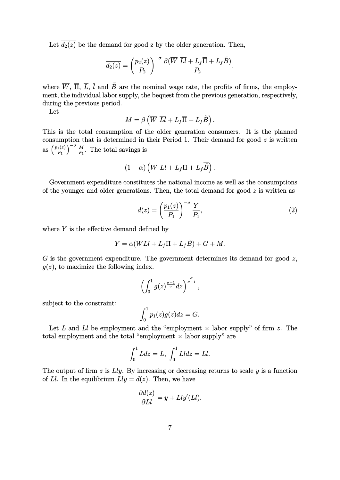Let  $\overline{d_2(z)}$  be the demand for good z by the older generation. Then,

$$
\overline{d_2(z)} = \left(\frac{p_2(z)}{P_2}\right)^{-\sigma} \frac{\beta(\overline{W} \ \overline{Ll} + L_f \overline{\Pi} + L_f \overline{\tilde{B}})}{P_2}.
$$

where  $\overline{W}$ ,  $\overline{\Pi}$ ,  $\overline{L}$ ,  $\overline{l}$  and  $\overline{\tilde{B}}$  are the nominal wage rate, the profits of firms, the employment, the individual labor supply, the bequest from the previous generation, respectively, during the previous period.

Let

$$
M = \beta \left( \overline{W} \ \overline{Ll} + L_f \overline{\overline{\Pi}} + L_f \overline{\widetilde{B}} \right).
$$

This is the total consumption of the older generation consumers. It is the planned consumption that is determined in their Period 1. Their demand for good *z* is written  $\text{as}\left(\frac{p_1(z)}{P_1}\right)$  $\left(\frac{p_1(z)}{p_1}\right)^{-\sigma} \frac{M}{p_1}$ . The total savings is

$$
(1-\alpha)\left(\overline{W}\ \overline{L}\overline{l}+L_f\overline{\overline{\Pi}}+L_f\overline{\widetilde{B}}\right).
$$

Government expenditure constitutes the national income as well as the consumptions of the younger and older generations. Then, the total demand for good *z* is written as

$$
d(z) = \left(\frac{p_1(z)}{P_1}\right)^{-\sigma} \frac{Y}{P_1},\tag{2}
$$

where *Y* is the effective demand defined by

$$
Y = \alpha(WLI + L_f\Pi + L_f\tilde{B}) + G + M.
$$

*G* is the government expenditure. The government determines its demand for good *z*,  $q(z)$ , to maximize the following index.

$$
\left(\int_0^1 g(z)^{\frac{\sigma-1}{\sigma}}dz\right)^{\frac{\sigma}{\sigma-1}},
$$

subject to the constraint:

$$
\int_0^1 p_1(z)g(z)dz = G.
$$

Let  $L$  and  $Ll$  be employment and the "employment  $\times$  labor supply" of firm  $z$ . The total employment and the total "employment  $\times$  labor supply" are

$$
\int_0^1 L dz = L, \int_0^1 L l dz = L l.
$$

The output of firm *z* is *Lly*. By increasing or decreasing returns to scale *y* is a function of *Ll*. In the equilibrium  $Lly = d(z)$ . Then, we have

$$
\frac{\partial d(z)}{\partial Ll} = y + Lly'(Ll).
$$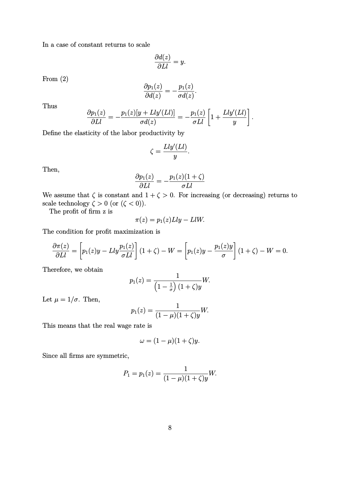In a case of constant returns to scale

$$
\frac{\partial d(z)}{\partial Ll} = y.
$$

From (2)

$$
\frac{\partial p_1(z)}{\partial d(z)} = -\frac{p_1(z)}{\sigma d(z)}.
$$

Thus

$$
\frac{\partial p_1(z)}{\partial Ll} = -\frac{p_1(z)[y + Lly'(Ll)]}{\sigma d(z)} = -\frac{p_1(z)}{\sigma Ll} \left[ 1 + \frac{Lly'(Ll)}{y} \right].
$$

Define the elasticity of the labor productivity by

$$
\zeta = \frac{Lly'(Ll)}{y}.
$$

Then,

$$
\frac{\partial p_1(z)}{\partial Ll} = -\frac{p_1(z)(1+\zeta)}{\sigma Ll}
$$

We assume that  $\zeta$  is constant and  $1 + \zeta > 0$ . For increasing (or decreasing) returns to scale technology  $\zeta > 0$  (or  $(\zeta < 0)$ ).

The profit of firm z is

$$
\pi(z) = p_1(z) Lly - L lW.
$$

The condition for profit maximization is

$$
\frac{\partial \pi(z)}{\partial Ll} = \left[ p_1(z)y - Lly \frac{p_1(z)}{\sigma Ll} \right] (1+\zeta) - W = \left[ p_1(z)y - \frac{p_1(z)y}{\sigma} \right] (1+\zeta) - W = 0.
$$

Therefore, we obtain

$$
p_1(z)=\frac{1}{\left(1-\frac{1}{\sigma}\right)(1+\zeta)y}W.
$$

Let  $\mu = 1/\sigma$ . Then,

$$
p_1(z) = \frac{1}{(1 - \mu)(1 + \zeta)y}W.
$$

This means that the real wage rate is

$$
\omega=(1-\mu)(1+\zeta)y.
$$

Since all firms are symmetric,

$$
P_1 = p_1(z) = \frac{1}{(1 - \mu)(1 + \zeta)y}W.
$$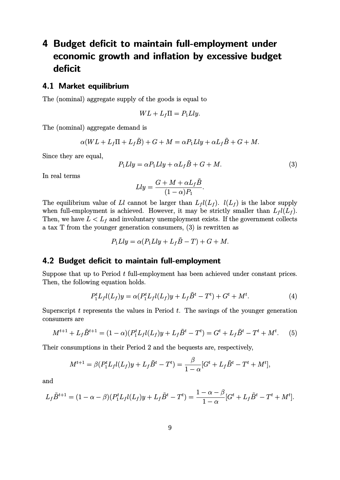# **4 Budget deficit to maintain full-employment under economic growth and inflation by excessive budget deficit**

#### **4.1 Market equilibrium**

The (nominal) aggregate supply of the goods is equal to

$$
WL + L_f\Pi = P_1Lly.
$$

The (nominal) aggregate demand is

$$
\alpha(WL + L_f\Pi + L_f\tilde{B}) + G + M = \alpha P_1 Lly + \alpha L_f\tilde{B} + G + M.
$$

Since they are equal,

$$
P_1 Lly = \alpha P_1 Lly + \alpha L_f \tilde{B} + G + M. \tag{3}
$$

In real terms

$$
Lly = \frac{G + M + \alpha L_f \tilde{B}}{(1 - \alpha)P_1}.
$$

The equilibrium value of *Ll* cannot be larger than  $L_f l(L_f)$ .  $l(L_f)$  is the labor supply when full-employment is achieved. However, it may be strictly smaller than  $L_f l(L_f)$ . Then, we have  $L < L_f$  and involuntary unemployment exists. If the government collects a tax T from the younger generation consumers, (3) is rewritten as

$$
P_1 Lly = \alpha (P_1 Lly + L_f \tilde{B} - T) + G + M.
$$

### **4.2 Budget deficit to maintain full-employment**

Suppose that up to Period *t* full-employment has been achieved under constant prices. Then, the following equation holds.

$$
P_1^t L_f l(L_f) y = \alpha (P_1^t L_f l(L_f) y + L_f \tilde{B}^t - T^t) + G^t + M^t.
$$
\n(4)

Superscript *t* represents the values in Period *t*. The savings of the younger generation consumers are

$$
M^{t+1} + L_f \tilde{B}^{t+1} = (1 - \alpha)(P_1^t L_f l(L_f) y + L_f \tilde{B}^t - T^t) = G^t + L_f \tilde{B}^t - T^t + M^t.
$$
 (5)

Their consumptions in their Period 2 and the bequests are, respectively,

$$
M^{t+1} = \beta (P_1^t L_f l(L_f) y + L_f \tilde{B}^t - T^t) = \frac{\beta}{1 - \alpha} [G^t + L_f \tilde{B}^t - T^t + M^t],
$$

and

$$
L_f \tilde{B}^{t+1} = (1 - \alpha - \beta)(P_1^t L_f l(L_f) y + L_f \tilde{B}^t - T^t) = \frac{1 - \alpha - \beta}{1 - \alpha} [G^t + L_f \tilde{B}^t - T^t + M^t].
$$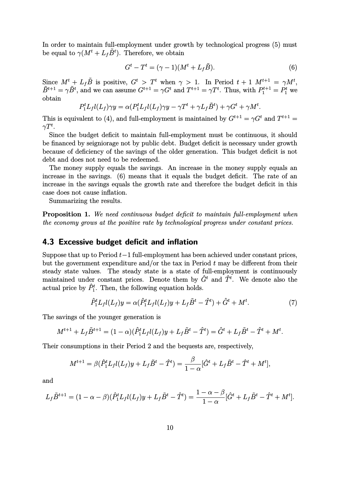In order to maintain full-employment under growth by technological progress (5) must be equal to  $\gamma(M^t + L_f \tilde{B}^t)$ . Therefore, we obtain

$$
G^t - T^t = (\gamma - 1)(M^t + L_f \tilde{B}).
$$
\n<sup>(6)</sup>

Since  $M^t + L_f \tilde{B}$  is positive,  $G^t > T^t$  when  $\gamma > 1$ . In Period  $t + 1$   $M^{t+1} = \gamma M^t$ ,  $\tilde{B}^{t+1} = \gamma \tilde{B}^t$ , and we can assume  $G^{t+1} = \gamma G^t$  and  $T^{t+1} = \gamma T^t$ . Thus, with  $P_1^{t+1} = P_1^t$  we obtain

$$
P_1^t L_f l(L_f) \gamma y = \alpha (P_1^t L_f l(L_f) \gamma y - \gamma T^t + \gamma L_f \tilde{B}^t) + \gamma G^t + \gamma M^t.
$$

This is equivalent to (4), and full-employment is maintained by  $G^{t+1} = \gamma G^t$  and  $T^{t+1} =$  $\gamma T^t.$ 

Since the budget deficit to maintain full-employment must be continuous, it should be financed by seigniorage not by public debt. Budget deficit is necessary under growth because of deficiency of the savings of the older generation. This budget deficit is not debt and does not need to be redeemed.

The money supply equals the savings. An increase in the money supply equals an increase in the savings. (6) means that it equals the budget deficit. The rate of an increase in the savings equals the growth rate and therefore the budget deficit in this case does not cause inflation.

Summarizing the results.

**Proposition 1.** *We need continuous budget deficit to maintain full-employment when the economy grows at the positive rate by technological progress under constant prices.*

### **4.3 Excessive budget deficit and inflation**

Suppose that up to Period *t*−1 full-employment has been achieved under constant prices, but the government expenditure and/or the tax in Period *t* may be different from their steady state values. The steady state is a state of full-employment is continuously maintained under constant prices. Denote them by  $\hat{G}^t$  and  $\hat{T}^t$ . We denote also the actual price by  $\hat{P}_{1}^{t}$ . Then, the following equation holds.

$$
\hat{P}_1^t L_f l(L_f) y = \alpha (\hat{P}_1^t L_f l(L_f) y + L_f \tilde{B}^t - \hat{T}^t) + \hat{G}^t + M^t. \tag{7}
$$

The savings of the younger generation is

$$
M^{t+1} + L_f \tilde{B}^{t+1} = (1 - \alpha)(\hat{P}_1^t L_f l(L_f) y + L_f \tilde{B}^t - \hat{T}^t) = \hat{G}^t + L_f \tilde{B}^t - \hat{T}^t + M^t.
$$

Their consumptions in their Period 2 and the bequests are, respectively,

$$
M^{t+1} = \beta(\hat{P}_1^t L_f l(L_f) y + L_f \tilde{B}^t - \hat{T}^t) = \frac{\beta}{1 - \alpha} [\hat{G}^t + L_f \tilde{B}^t - \hat{T}^t + M^t],
$$

and

$$
L_f \tilde{B}^{t+1} = (1 - \alpha - \beta)(\hat{P}_1^t L_f l(L_f) y + L_f \tilde{B}^t - \hat{T}^t) = \frac{1 - \alpha - \beta}{1 - \alpha} [\hat{G}^t + L_f \tilde{B}^t - \hat{T}^t + M^t].
$$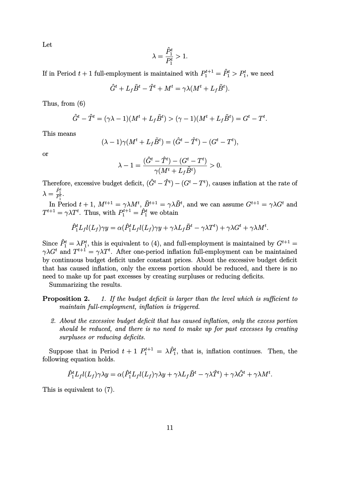Let

$$
\lambda = \frac{\hat{P}_1^t}{P_1^t} > 1.
$$

If in Period  $t + 1$  full-employment is maintained with  $P_1^{t+1} = \hat{P}_1^t > P_1^t$ , we need

$$
\hat{G}^t + L_f \tilde{B}^t - \hat{T}^t + M^t = \gamma \lambda (M^t + L_f \tilde{B}^t).
$$

Thus, from (6)

$$
\hat{G}^{t} - \hat{T}^{t} = (\gamma \lambda - 1)(M^{t} + L_{f} \tilde{B}^{t}) > (\gamma - 1)(M^{t} + L_{f} \tilde{B}^{t}) = G^{t} - T^{t}.
$$

This means

$$
(\lambda - 1)\gamma(M^t + L_f \tilde{B}^t) = (\hat{G}^t - \hat{T}^t) - (G^t - T^t),
$$

or

$$
\lambda - 1 = \frac{(\hat{G}^t - \hat{T}^t) - (G^t - T^t)}{\gamma(M^t + L_f \tilde{B}^t)} > 0.
$$

Therefore, excessive budget deficit,  $(\hat{G}^t - \hat{T}^t) - (G^t - T^t)$ , causes inflation at the rate of  $\lambda = \frac{\hat{P}_1^t}{P_1^t}.$ 

In Period  $t + 1$ ,  $M^{t+1} = \gamma \lambda M^t$ ,  $\tilde{B}^{t+1} = \gamma \lambda \tilde{B}^t$ , and we can assume  $G^{t+1} = \gamma \lambda G^t$  and  $T^{t+1} = \gamma \lambda T^t$ . Thus, with  $P_1^{t+1} = \hat{P}_1^t$  we obtain

$$
\hat{P}_1^t L_f l(L_f) \gamma y = \alpha (\hat{P}_1^t L_f l(L_f) \gamma y + \gamma \lambda L_f \tilde{B}^t - \gamma \lambda T^t) + \gamma \lambda G^t + \gamma \lambda M^t.
$$

Since  $\hat{P}_1^t = \lambda P_1^t$ , this is equivalent to (4), and full-employment is maintained by  $G^{t+1}$ *γλG<sup>t</sup>* and  $T^{t+1} = \gamma \lambda T^t$ . After one-period inflation full-employment can be maintained by continuous budget deficit under constant prices. About the excessive budget deficit that has caused inflation, only the excess portion should be reduced, and there is no need to make up for past excesses by creating surpluses or reducing deficits.

Summarizing the results.

**Proposition 2.** *1. If the budget deficit is larger than the level which is sufficient to maintain full-employment, inflation is triggered.*

*2. About the excessive budget deficit that has caused inflation, only the excess portion should be reduced, and there is no need to make up for past excesses by creating surpluses or reducing deficits.*

Suppose that in Period  $t + 1$   $P_1^{t+1} = \lambda \hat{P}_1^t$ , that is, inflation continues. Then, the following equation holds.

$$
\hat{P}_1^t L_f l(L_f) \gamma \lambda y = \alpha (\hat{P}_1^t L_f l(L_f) \gamma \lambda y + \gamma \lambda L_f \tilde{B}^t - \gamma \lambda \hat{T}^t) + \gamma \lambda \hat{G}^t + \gamma \lambda M^t.
$$

This is equivalent to (7).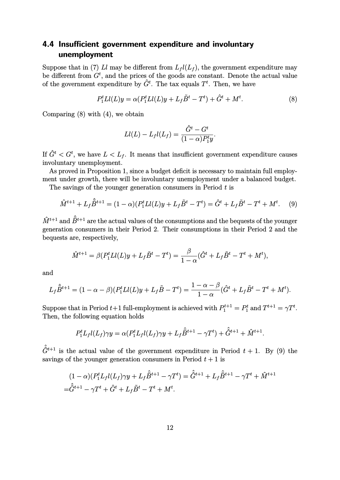### **4.4 Insufficient government expenditure and involuntary unemployment**

Suppose that in (7) *Ll* may be different from  $L_f l(L_f)$ , the government expenditure may be different from  $G<sup>t</sup>$ , and the prices of the goods are constant. Denote the actual value of the government expenditure by  $\hat{G}^t$ . The tax equals  $T^t$ . Then, we have

$$
P_1^t Ll(L)y = \alpha (P_1^t Ll(L)y + L_f \tilde{B}^t - T^t) + \hat{G}^t + M^t.
$$
 (8)

Comparing  $(8)$  with  $(4)$ , we obtain

$$
Ll(L) - L_f l(L_f) = \frac{\hat{G}^t - G^t}{(1 - \alpha)P_1^t y}.
$$

If  $\hat{G}^t < G^t$ , we have  $L < L_f$ . It means that insufficient government expenditure causes involuntary unemployment.

As proved in Proposition 1, since a budget deficit is necessary to maintain full employment under growth, there will be involuntary unemployment under a balanced budget.

The savings of the younger generation consumers in Period *t* is

$$
\hat{M}^{t+1} + L_f \hat{\tilde{B}}^{t+1} = (1 - \alpha)(P_1^t L l(L) y + L_f \tilde{B}^t - T^t) = \hat{G}^t + L_f \tilde{B}^t - T^t + M^t. \tag{9}
$$

 $\hat{M}^{t+1}$  and  $\hat{\bar{B}}^{t+1}$  are the actual values of the consumptions and the bequests of the younger generation consumers in their Period 2. Their consumptions in their Period 2 and the bequests are, respectively,

$$
\hat{M}^{t+1} = \beta (P_1^t L l(L) y + L_f \tilde{B}^t - T^t) = \frac{\beta}{1 - \alpha} (\hat{G}^t + L_f \tilde{B}^t - T^t + M^t),
$$

and

$$
L_f \hat{\tilde{B}}^{t+1} = (1 - \alpha - \beta)(P_1^t L l(L) y + L_f \tilde{B} - T^t) = \frac{1 - \alpha - \beta}{1 - \alpha} (\hat{G}^t + L_f \tilde{B}^t - T^t + M^t).
$$

Suppose that in Period  $t+1$  full-employment is achieved with  $P_1^{t+1} = P_1^t$  and  $T^{t+1} = \gamma T^t$ . Then, the following equation holds

$$
P_1^t L_f l(L_f) \gamma y = \alpha (P_1^t L_f l(L_f) \gamma y + L_f \hat{\bar{B}}^{t+1} - \gamma T^t) + \hat{G}^{t+1} + \hat{M}^{t+1}.
$$

 $\hat{G}^{t+1}$  is the actual value of the government expenditure in Period  $t + 1$ . By (9) the savings of the younger generation consumers in Period  $t + 1$  is

$$
(1 - \alpha)(P_1^t L_f l(L_f) \gamma y + L_f \hat{\vec{B}}^{t+1} - \gamma T^t) = \hat{\hat{G}}^{t+1} + L_f \hat{\vec{B}}^{t+1} - \gamma T^t + \hat{M}^{t+1}
$$

$$
= \hat{\hat{G}}^{t+1} - \gamma T^t + \hat{G}^t + L_f \tilde{B}^t - T^t + M^t.
$$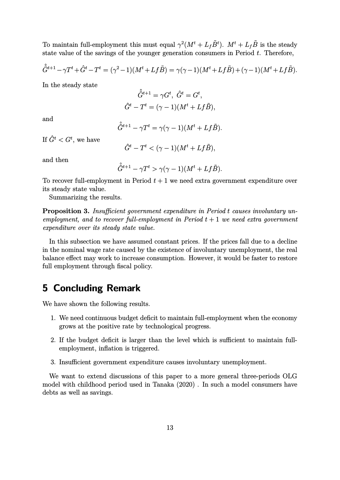To maintain full-employment this must equal  $\gamma^2(M^t + L_f \tilde{B}^t)$ .  $M^t + L_f \tilde{B}$  is the steady state value of the savings of the younger generation consumers in Period *t*. Therefore,

$$
\hat{G}^{t+1} - \gamma T^t + \hat{G}^t - T^t = (\gamma^2 - 1)(M^t + Lf\tilde{B}) = \gamma(\gamma - 1)(M^t + Lf\tilde{B}) + (\gamma - 1)(M^t + Lf\tilde{B}).
$$

In the steady state

$$
\hat{G}^{t+1} = \gamma G^t, \ \hat{G}^t = G^t,
$$
  

$$
\hat{G}^t - T^t = (\gamma - 1)(M^t + Lf\tilde{B}),
$$

and

$$
\hat{G}^{t+1} - \gamma T^t = \gamma(\gamma - 1)(M^t + Lf\tilde{B}).
$$

If  $\hat{G}^t < G^t$ , we have

$$
\hat{G}^t - T^t < (\gamma - 1)(M^t + Lf\tilde{B}),
$$

and then

$$
\hat{\hat{G}}^{t+1}-\gamma T^t > \gamma(\gamma-1)(M^t+Lf\tilde{B}).
$$

To recover full-employment in Period  $t + 1$  we need extra government expenditure over its steady state value.

Summarizing the results.

**Proposition 3.** *Insufficient government expenditure in Period t causes involuntary unemployment, and to recover full-employment in Period t* + 1 *we need extra government expenditure over its steady state value.*

In this subsection we have assumed constant prices. If the prices fall due to a decline in the nominal wage rate caused by the existence of involuntary unemployment, the real balance effect may work to increase consumption. However, it would be faster to restore full employment through fiscal policy.

### **5 Concluding Remark**

We have shown the following results.

- 1. We need continuous budget deficit to maintain full-employment when the economy grows at the positive rate by technological progress.
- 2. If the budget deficit is larger than the level which is sufficient to maintain fullemployment, inflation is triggered.
- 3. Insufficient government expenditure causes involuntary unemployment.

We want to extend discussions of this paper to a more general three-periods OLG model with childhood period used in Tanaka (2020) . In such a model consumers have debts as well as savings.